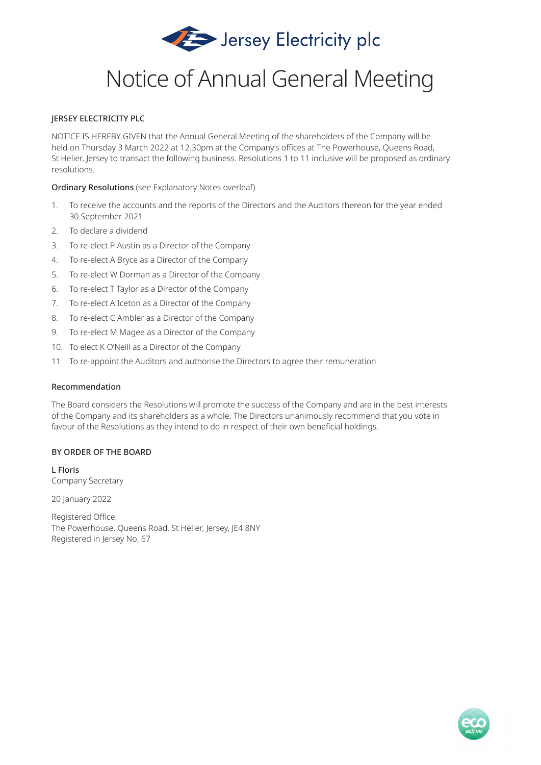

# Notice of Annual General Meeting

## JERSEY ELECTRICITY PLC

NOTICE IS HEREBY GIVEN that the Annual General Meeting of the shareholders of the Company will be held on Thursday 3 March 2022 at 12.30pm at the Company's offices at The Powerhouse, Queens Road, St Helier, Jersey to transact the following business. Resolutions 1 to 11 inclusive will be proposed as ordinary resolutions.

Ordinary Resolutions (see Explanatory Notes overleaf)

- 1. To receive the accounts and the reports of the Directors and the Auditors thereon for the year ended 30 September 2021
- 2. To declare a dividend
- 3. To re-elect P Austin as a Director of the Company
- 4. To re-elect A Bryce as a Director of the Company
- 5. To re-elect W Dorman as a Director of the Company
- 6. To re-elect T Taylor as a Director of the Company
- 7. To re-elect A Iceton as a Director of the Company
- 8. To re-elect C Ambler as a Director of the Company
- 9. To re-elect M Magee as a Director of the Company
- 10. To elect K O'Neill as a Director of the Company
- 11. To re-appoint the Auditors and authorise the Directors to agree their remuneration

## Recommendation

The Board considers the Resolutions will promote the success of the Company and are in the best interests of the Company and its shareholders as a whole. The Directors unanimously recommend that you vote in favour of the Resolutions as they intend to do in respect of their own beneficial holdings.

## BY ORDER OF THE BOARD

L Floris Company Secretary

20 January 2022

Registered Office: The Powerhouse, Queens Road, St Helier, Jersey, JE4 8NY Registered in Jersey No. 67